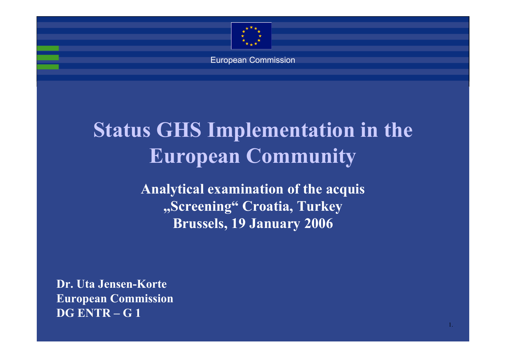

European Commission

# **Status GHS Implementation in the European Community**

**Analytical examination of the acquis "Screening" Croatia, Turkey Brussels, 19 January 2006**

1.

**Dr. Uta Jensen-KorteEuropean Commission DG ENTR – G 1**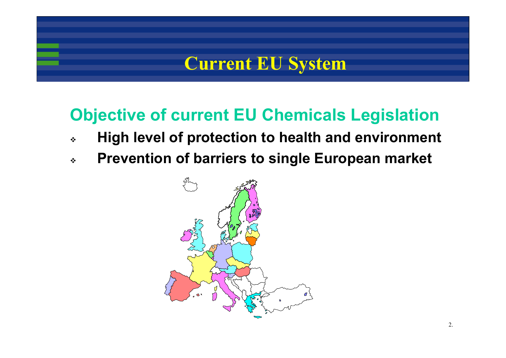### **Current EU System**

#### **Objective of current EU Chemicals Legislation**

- $\frac{1}{2}$ **High level of protection to health and environment**
- $\frac{1}{2}$ **Prevention of barriers to single European market**

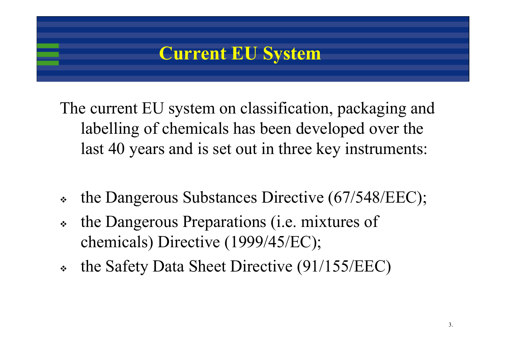### **Current EU System**

The current EU system on classification, packaging and labelling of chemicals has been developed over the last 40 years and is set out in three key instruments:

- $\frac{1}{2}$ the Dangerous Substances Directive (67/548/EEC);
- $\frac{1}{2}$  the Dangerous Preparations (i.e. mixtures of chemicals) Directive (1999/45/EC);
- ❖ the Safety Data Sheet Directive (91/155/EEC)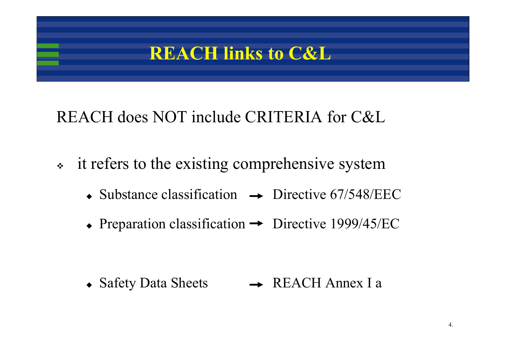### **REACH links to C&L**

### REACH does NOT include CRITERIA for C&L

- $\bullet^{\bullet}_{\bullet}$  it refers to the existing comprehensive system
	- $\bullet$  Substance classification  $\rightarrow$  Directive 67/548/EEC
	- Preparation classification  $\rightarrow$  Directive 1999/45/EC

 $\bullet$  Safety Data Sheets  $\rightarrow$  REACH Annex I a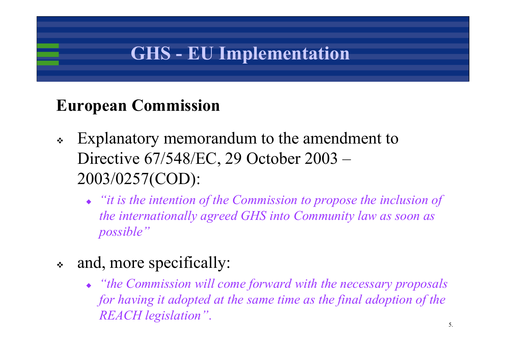## **GHS - EU Implementation**

#### **European Commission**

- $\bullet^{\bullet}_{\bullet} \bullet$  Explanatory memorandum to the amendment to Directive 67/548/EC, 29 October 2003 – 2003/0257(COD):
	- *"it is the intention of the Commission to propose the inclusion of the internationally agreed GHS into Community law as soon as possible"*
- $\frac{1}{2}$  and, more specifically:
	- *"the Commission will come forward with the necessary proposals for having it adopted at the same time as the final adoption of the REACH legislation"*.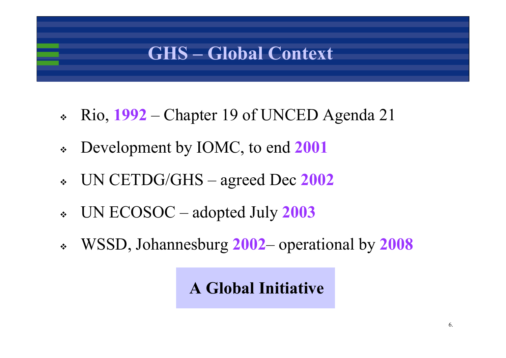### **GHS – Global Context**

- $\frac{1}{2}$ Rio, **1992** – Chapter 19 of UNCED Agenda 21
- $\bullet^{\bullet}_{\bullet} \bullet$ Development by IOMC, to end **2001**
- ❖ UN CETDG/GHS – agreed Dec **2002**
- $\frac{1}{2}$ UN ECOSOC – adopted July **2003**
- $\frac{1}{2}$ WSSD, Johannesburg **2002**– operational by **2008**

**A Global Initiative**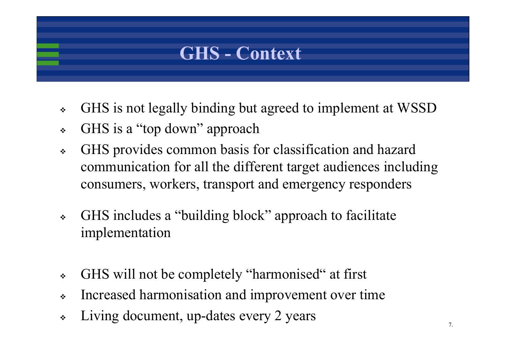

- $\frac{1}{2}$ GHS is not legally binding but agreed to implement at WSSD
- $\frac{1}{2}$ GHS is a "top down" approach
- $\frac{1}{2}$  GHS provides common basis for classification and hazard communication for all the different target audiences including consumers, workers, transport and emergency responders
- $\frac{1}{2}$  GHS includes a "building block" approach to facilitate implementation
- $\frac{1}{2}$ GHS will not be completely "harmonised" at first
- $\frac{1}{2}$ Increased harmonisation and improvement over time
- $\frac{1}{2}$ Living document, up-dates every 2 years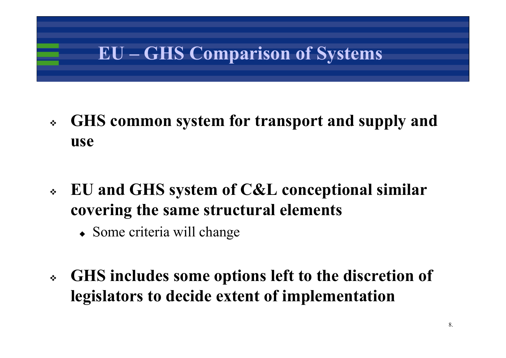## **EU – GHS Comparison of Systems**

- $\ddot{\bullet}$  **GHS common system for transport and supply and use**
- $\frac{1}{2}$  **EU and GHS system of C&L conceptional similar covering the same structural elements**
	- Some criteria will change
- $\ddot{\bullet}$  **GHS includes some options left to the discretion of legislators to decide extent of implementation**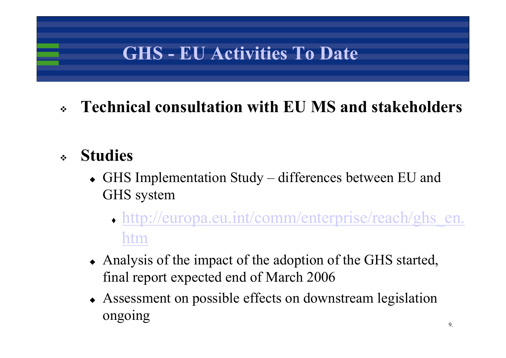## **GHS - EU Activities To Date**

#### ❖ **Technical consultation with EU MS and stakeholders**

#### ❖ **Studies**

- GHS Implementation Study differences between EU and GHS system
	- http://europa.eu.int/comm/enterprise/reach/ghs\_en. htm
- Analysis of the impact of the adoption of the GHS started, final report expected end of March 2006
- Assessment on possible effects on downstream legislation ongoing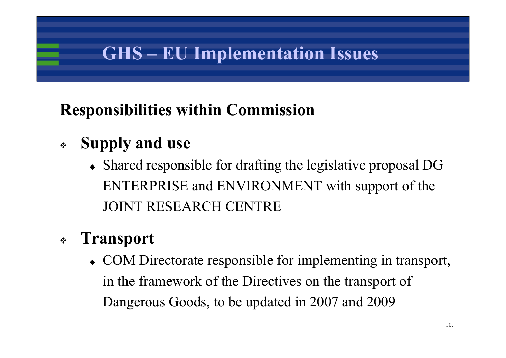## **GHS – EU Implementation Issues**

### **Responsibilities within Commission**

#### $\frac{1}{2}$ **Supply and use**

• Shared responsible for drafting the legislative proposal DG ENTERPRISE and ENVIRONMENT with support of the JOINT RESEARCH CENTRE

#### $\frac{1}{2}$ **Transport**

• COM Directorate responsible for implementing in transport, in the framework of the Directives on the transport of Dangerous Goods, to be updated in 2007 and 2009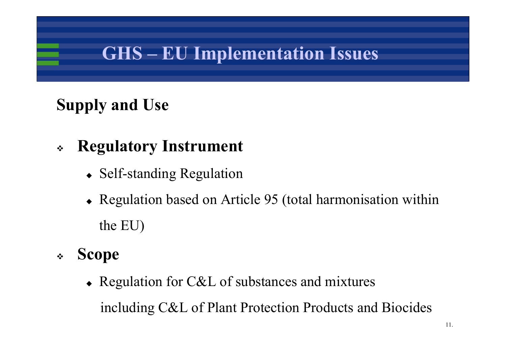## **GHS – EU Implementation Issues**

## **Supply and Use**

#### $\frac{1}{2}$ **Regulatory Instrument**

- Self-standing Regulation
- Regulation based on Article 95 (total harmonisation within the EU)
- $\frac{1}{2}$  **Scope**
	- Regulation for C&L of substances and mixtures including C&L of Plant Protection Products and Biocides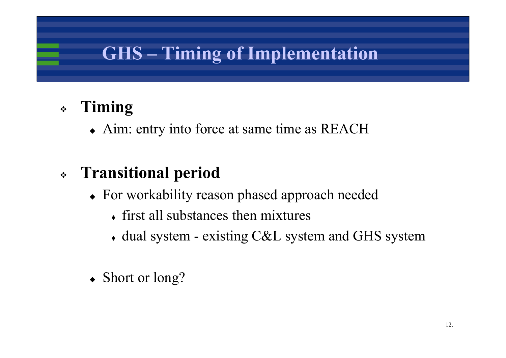## **GHS – Timing of Implementation**

#### $\frac{1}{2}$ **Timing**

• Aim: entry into force at same time as REACH

#### $\frac{1}{2}$ **Transitional period**

- For workability reason phased approach needed
	- first all substances then mixtures
	- dual system existing C&L system and GHS system
- Short or long?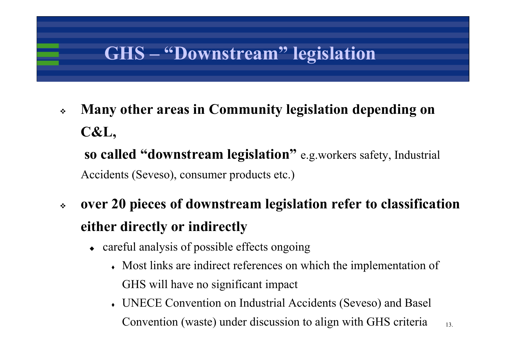## **GHS – "Downstream" legislation**

- $\bullet^*_{\bullet}\bullet$  **Many other areas in Community legislation depending on C&L, so called "downstream legislation"** e.g.workers safety, Industrial Accidents (Seveso), consumer products etc.)
- $\bullet \bullet$  **over 20 pieces of downstream legislation refer to classification either directly or indirectly**
	- careful analysis of possible effects ongoing
		- Most links are indirect references on which the implementation of GHS will have no significant impact
		- UNECE Convention on Industrial Accidents (Seveso) and Basel Convention (waste) under discussion to align with GHS criteria

13.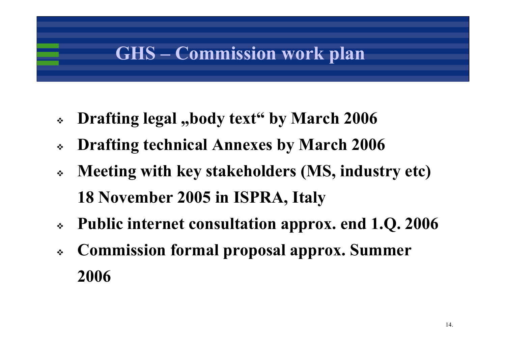## **GHS – Commission work plan**

- $\frac{1}{2}$ **Drafting legal ,,body text" by March 2006**
- $\frac{1}{2}$ **Drafting technical Annexes by March 2006**
- $\frac{1}{2}$  **Meeting with key stakeholders (MS, industry etc) 18 November 2005 in ISPRA, Italy**
- $\frac{1}{2}$ **Public internet consultation approx. end 1.Q. 2006**
- $\frac{1}{2}$  **Commission formal proposal approx. Summer 2006**